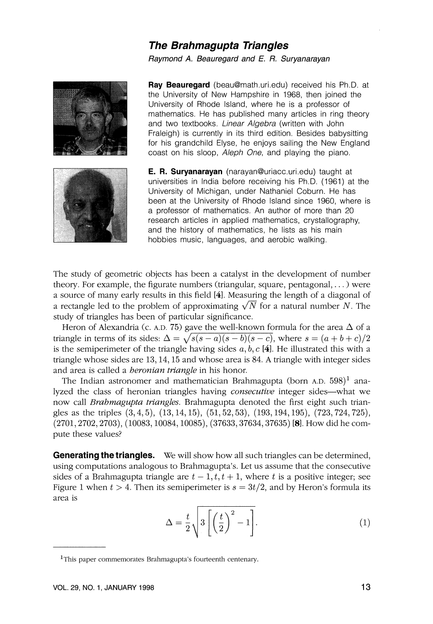## **The Brahmagupta Triangles**

## Raymond A. Beauregard and E. R. Suryanarayan



**Ray Beauregard** (beau@math.uri.edu) received his Ph.D. at the University of New Hampshire in 1968, then joined the University of Rhode Island, where he is a professor of mathematics. He has published many articles in ring theory and two textbooks. Linear Algebra (written with John Fraleigh) is currently in its third edition. Besides babysitting for his grandchild Elyse, he enjoys sailing the New England coast on his sloop, Aleph One, and playing the piano.

**E. R. Suryanarayan** (narayan@uriacc.uri.edu) taught at universities in India before receiving his Ph.D. (1961) at the University of Michigan, under Nathaniel Coburn. He has been at the University of Rhode Island since 1960, where is a professor of mathematics. An author of more than 20 research articles in applied mathematics, crystallography, and the history of mathematics, he lists as his main hobbies music, languages, and aerobic walking.

The study of geometric objects has been a catalyst in the development of number theory. For example, the figurate numbers (triangular, square, pentagonal, . . . ) were a source of many early results in this field *[41.*Measuring the length of a diagonal of theory. For example, the figurate numbers (triangular, square, pentagonal, ...) were<br>a source of many early results in this field [4]. Measuring the length of a diagonal of<br>a rectangle led to the problem of approximating study of triangles has been of particular significance.

Heron of Alexandria (c. A.D. 75) gave the well-known formula for the area  $\Delta$  of a triangle in terms of its sides:  $\Delta = \sqrt{s(s-a)(s-b)(s-c)}$ , where  $s = (a+b+c)/2$ is the semiperimeter of the triangle having sides  $a, b, c$  [4]. He illustrated this with a triangle whose sides are *13,14,15* and whose area is *84.* A triangle with integer sides and area is called a *heronian triangle* in his honor.

The Indian astronomer and mathematician Brahmagupta (born A.D. *598)'* analyzed the class of heronian triangles having *consecutive* integer sides-what we now call *Brahmagupta triangles.* Brahmagupta denoted the first eight such triangles as the triples  $(3,4,5)$ ,  $(13,14,15)$ ,  $(51,52,53)$ ,  $(193,194,195)$ ,  $(723,724,725)$ , *(2701,2702,2703), (10083,10084,10085), (37633,37634,37635) [8].*How did he compute these values?

**Generating the triangles.** We will show how all such triangles can be determined, using computations analogous to Brahmagupta's. Let us assume that the consecutive sides of a Brahmagupta triangle are  $t - 1, t, t + 1$ , where t is a positive integer; see Figure 1 when  $t > 4$ . Then its semiperimeter is  $s = 3t/2$ , and by Heron's formula its area is

$$
\Delta = \frac{t}{2} \sqrt{3 \left[ \left( \frac{t}{2} \right)^2 - 1 \right]}.
$$
 (1)

<sup>&</sup>lt;sup>1</sup>This paper commemorates Brahmagupta's fourteenth centenary.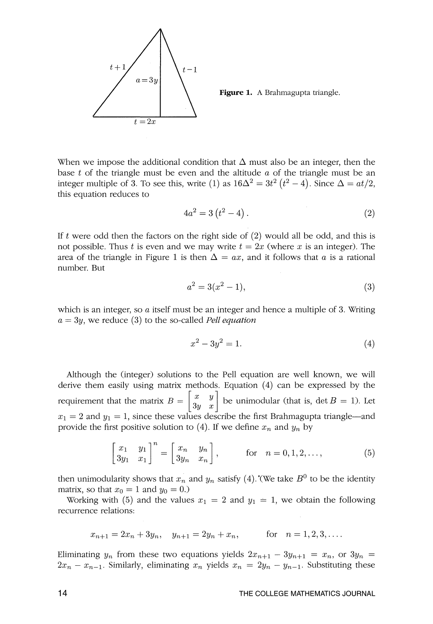

Figure 1. A Brahmagupta triangle.

When we impose the additional condition that  $\Delta$  must also be an integer, then the base *t* of the triangle must be even and the altitude *a* of the triangle must be an integer multiple of 3. To see this, write (1) as  $16\Delta^2 = 3t^2 (t^2 - 4)$ . Since  $\Delta = at/2$ , this equation reduces to

$$
4a^2 = 3(t^2 - 4).
$$
 (2)

If  $t$  were odd then the factors on the right side of  $(2)$  would all be odd, and this is not possible. Thus *t* is even and we may write  $t = 2x$  (where *x* is an integer). The area of the triangle in Figure 1 is then  $\Delta = ax$ , and it follows that a is a rational number. But

$$
a^2 = 3(x^2 - 1),
$$
\n(3)

which is an integer, so a itself must be an integer and hence a multiple of 3. Writing  $a = 3y$ , we reduce (3) to the so-called *Pell equation* 

$$
x^2 - 3y^2 = 1.\t\t(4)
$$

Although the (integer) solutions to the Pell equation are well known, we will derive them easily using matrix methods. Equation *(4)* can be expressed by the requirement that the matrix  $B = \begin{bmatrix} x & y \ 3y & x \end{bmatrix}$  be unimodular (that is, det  $B = 1$ ). Let  $x_1 = 2$  and  $y_1 = 1$ , since these values describe the first Brahmagupta triangle-and provide the first positive solution to  $(4)$ . If we define  $x_n$  and  $y_n$  by

$$
\begin{bmatrix} x_1 & y_1 \\ 3y_1 & x_1 \end{bmatrix}^n = \begin{bmatrix} x_n & y_n \\ 3y_n & x_n \end{bmatrix}, \qquad \text{for} \quad n = 0, 1, 2, \dots,\tag{5}
$$

then unimodularity shows that  $x_n$  and  $y_n$  satisfy (4).'(We take  $B^0$  to be the identity matrix, so that  $x_0 = 1$  and  $y_0 = 0$ .)

Working with (5) and the values  $x_1 = 2$  and  $y_1 = 1$ , we obtain the following recurrence relations:

$$
x_{n+1} = 2x_n + 3y_n
$$
,  $y_{n+1} = 2y_n + x_n$ , for  $n = 1, 2, 3, ...$ 

Eliminating  $y_n$  from these two equations yields  $2x_{n+1} - 3y_{n+1} = x_n$ , or  $3y_n = x_n$  $2x_n - x_{n-1}$ . Similarly, eliminating  $x_n$  yields  $x_n = 2y_n - y_{n-1}$ . Substituting these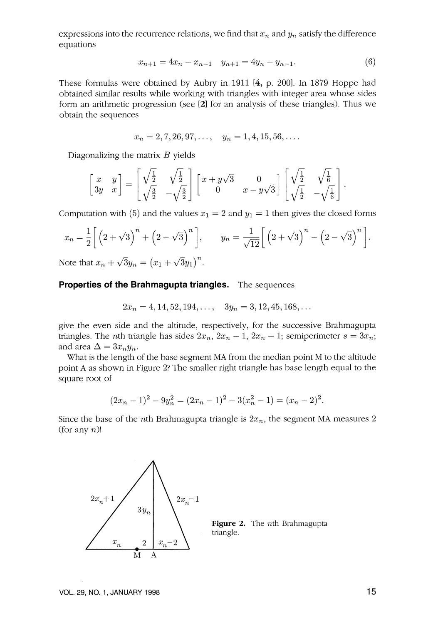expressions into the recurrence relations, we find that  $x_n$  and  $y_n$  satisfy the difference equations

$$
x_{n+1} = 4x_n - x_{n-1} \quad y_{n+1} = 4y_n - y_{n-1}.
$$
 (6)

These formulas were obtained by Aubry in 1911 *[4,*p. *2001.* In 1879 Hoppe had obtained similar results while working with triangles with integer area whose sides form an arithmetic progression (see **[21** for an analysis of these triangles). Thus we obtain the sequences

$$
x_n = 2, 7, 26, 97, \dots, \quad y_n = 1, 4, 15, 56, \dots
$$

Diagonalizing the matrix  $B$  yields

$$
\begin{bmatrix} x & y \\ 3y & x \end{bmatrix} = \begin{bmatrix} \sqrt{\frac{1}{2}} & \sqrt{\frac{1}{2}} \\ \sqrt{\frac{3}{2}} & -\sqrt{\frac{3}{2}} \end{bmatrix} \begin{bmatrix} x + y\sqrt{3} & 0 \\ 0 & x - y\sqrt{3} \end{bmatrix} \begin{bmatrix} \sqrt{\frac{1}{2}} & \sqrt{\frac{1}{6}} \\ \sqrt{\frac{1}{2}} & -\sqrt{\frac{1}{6}} \end{bmatrix}.
$$

Computation with (5) and the values  $x_1 = 2$  and  $y_1 = 1$  then gives the closed forms

$$
x_n = \frac{1}{2} \left[ \left( 2 + \sqrt{3} \right)^n + \left( 2 - \sqrt{3} \right)^n \right], \qquad y_n = \frac{1}{\sqrt{12}} \left[ \left( 2 + \sqrt{3} \right)^n - \left( 2 - \sqrt{3} \right)^n \right].
$$

Note that  $x_n + \sqrt{3}y_n = (x_1 + \sqrt{3}y_1)^n$ .

## **Properties of the Brahmagupta triangles.** The sequences

$$
2x_n = 4, 14, 52, 194, \dots, \quad 3y_n = 3, 12, 45, 168, \dots
$$

give the even side and the altitude, respectively, for the successive Brahmagupta triangles. The *n*th triangle has sides  $2x_n$ ,  $2x_n - 1$ ,  $2x_n + 1$ ; semiperimeter  $s = 3x_n$ ; and area  $\Delta = 3x_ny_n$ .

What is the length of the base segment MA from the median point M to the altitude point A as shown in Figure *2?* The smaller right triangle has base length equal to the square root of

$$
(2xn - 1)2 - 9yn2 = (2xn - 1)2 - 3(xn2 - 1) = (xn - 2)2.
$$

Since the base of the *n*th Brahmagupta triangle is  $2x_n$ , the segment MA measures 2 (for any  $n$ )!



**Figure** *2.* The nth Brahmagupta triangle.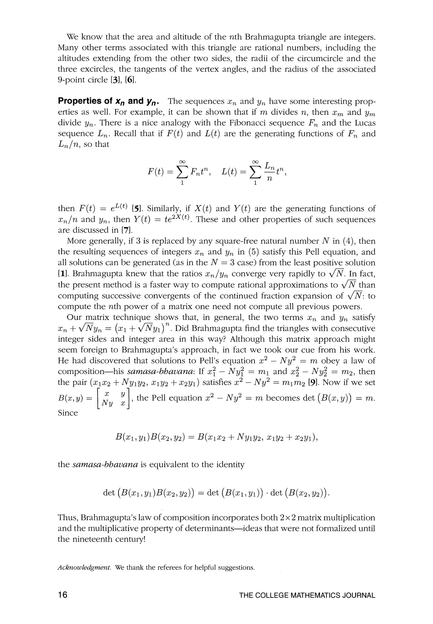We know that the area and altitude of the *n*th Brahmagupta triangle are integers. Many other terms associated with this triangle are rational numbers, including the altitudes extending from the other two sides, the radii of the circumcircle and the three excircles, the tangents of the vertex angles, and the radius of the associated 9-point circle [31, **[61.** 

**Properties of**  $x_n$  **and**  $y_n$ **.** The sequences  $x_n$  and  $y_n$  have some interesting properties as well. For example, it can be shown that if *m* divides *n*, then  $x_m$  and  $y_m$ divide  $y_n$ . There is a nice analogy with the Fibonacci sequence  $F_n$  and the Lucas sequence  $L_n$ . Recall that if  $F(t)$  and  $L(t)$  are the generating functions of  $F_n$  and  $L_n/n$ , so that

$$
F(t) = \sum_{n=1}^{\infty} F_n t^n, \quad L(t) = \sum_{n=1}^{\infty} \frac{L_n}{n} t^n,
$$

then  $F(t) = e^{L(t)}$  [5]. Similarly, if  $X(t)$  and  $Y(t)$  are the generating functions of  $x_n/n$  and  $y_n$ , then  $Y(t) = te^{2X(t)}$ . These and other properties of such sequences are discussed in **[71.** 

More generally, if 3 is replaced by any square-free natural number  $N$  in  $(4)$ , then the resulting sequences of integers  $x_n$  and  $y_n$  in (5) satisfy this Pell equation, and all solutions can be generated (as in the  $N = 3$  case) from the least positive solution [1]. Brahmagupta knew that the ratios  $x_n/y_n$  converge very rapidly to  $\sqrt{N}$ . In fact, the present method is a faster way to compute **[1]**. Brahmagupta knew that the ratios  $x_n/y_n$  converge very rapidly to  $\sqrt{N}$ . In fact, the present method is a faster way to compute rational approximations to  $\sqrt{N}$  than computing successive convergents of the continued fraction expansion of  $\sqrt{N}$ : to compute the nth power of a matrix one need not compute all previous powers.

Our matrix technique shows that, in general, the two terms  $x_n$  and  $y_n$  satisfy  $x_n + \sqrt{N}y_n = (x_1 + \sqrt{N}y_1)^n$ . Did Brahmagupta find the triangles with consecutive integer sides and integer area in this way? Although this matrix approach might seem foreign to Brahmagupta's approach, in fact we took our cue from his work. He had discovered that solutions to Pell's equation  $x^2 - Ny^2 = m$  obey a law of He had discovered that solutions to Pell's equation  $x^2 - Ny^2 = m$  obey a law of composition—his *samasa-bhavana*: If  $x_1^2 - Ny_1^2 = m_1$  and  $x_2^2 - Ny_2^2 = m_2$ , then composition—his *samasa-bhavana*: If  $x_1^2 - Ny_1^2 = m_1$  and  $x_2^2 - Ny_2^2 = m_2$ , then<br>the pair  $(x_1x_2 + Ny_1y_2, x_1y_2 + x_2y_1)$  satisfies  $x^2 - Ny^2 = m_1m_2$  [9]. Now if we set  $B(x,y) = \begin{bmatrix} x & y \\ Ny & x \end{bmatrix}$ , the Pell equation  $x^2 - Ny^2 = m$  becomes det  $(B(x,y)) = m$ . Since

$$
B(x_1, y_1)B(x_2, y_2) = B(x_1x_2 + Ny_1y_2, x_1y_2 + x_2y_1),
$$

the *samasa-bhauana* is equivalent to the identity

$$
\det\big(B(x_1,y_1)B(x_2,y_2)\big)=\det\big(B(x_1,y_1)\big)\cdot\det\big(B(x_2,y_2)\big).
$$

Thus, Brahmagupta's law of composition incorporates both  $2\times 2$  matrix multiplication and the multiplicative property of determinants—ideas that were not formalized until the nineteenth century!

*Acknowledgment.* We thank the referees for helpful suggestions.